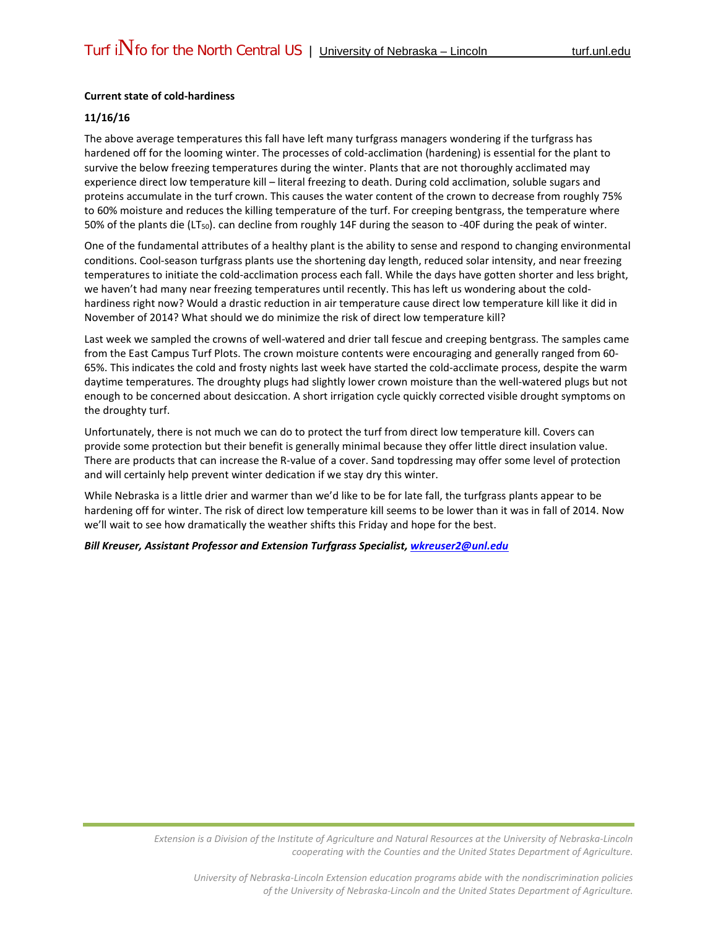## **Current state of cold-hardiness**

## **11/16/16**

The above average temperatures this fall have left many turfgrass managers wondering if the turfgrass has hardened off for the looming winter. The processes of cold-acclimation (hardening) is essential for the plant to survive the below freezing temperatures during the winter. Plants that are not thoroughly acclimated may experience direct low temperature kill – literal freezing to death. During cold acclimation, soluble sugars and proteins accumulate in the turf crown. This causes the water content of the crown to decrease from roughly 75% to 60% moisture and reduces the killing temperature of the turf. For creeping bentgrass, the temperature where 50% of the plants die (LT50). can decline from roughly 14F during the season to -40F during the peak of winter.

One of the fundamental attributes of a healthy plant is the ability to sense and respond to changing environmental conditions. Cool-season turfgrass plants use the shortening day length, reduced solar intensity, and near freezing temperatures to initiate the cold-acclimation process each fall. While the days have gotten shorter and less bright, we haven't had many near freezing temperatures until recently. This has left us wondering about the coldhardiness right now? Would a drastic reduction in air temperature cause direct low temperature kill like it did in November of 2014? What should we do minimize the risk of direct low temperature kill?

Last week we sampled the crowns of well-watered and drier tall fescue and creeping bentgrass. The samples came from the East Campus Turf Plots. The crown moisture contents were encouraging and generally ranged from 60- 65%. This indicates the cold and frosty nights last week have started the cold-acclimate process, despite the warm daytime temperatures. The droughty plugs had slightly lower crown moisture than the well-watered plugs but not enough to be concerned about desiccation. A short irrigation cycle quickly corrected visible drought symptoms on the droughty turf.

Unfortunately, there is not much we can do to protect the turf from direct low temperature kill. Covers can provide some protection but their benefit is generally minimal because they offer little direct insulation value. There are products that can increase the R-value of a cover. Sand topdressing may offer some level of protection and will certainly help prevent winter dedication if we stay dry this winter.

While Nebraska is a little drier and warmer than we'd like to be for late fall, the turfgrass plants appear to be hardening off for winter. The risk of direct low temperature kill seems to be lower than it was in fall of 2014. Now we'll wait to see how dramatically the weather shifts this Friday and hope for the best.

*Bill Kreuser, Assistant Professor and Extension Turfgrass Specialist, [wkreuser2@unl.edu](mailto:wkreuser2@unl.edu)*

*Extension is a Division of the Institute of Agriculture and Natural Resources at the University of Nebraska-Lincoln cooperating with the Counties and the United States Department of Agriculture.*

*University of Nebraska-Lincoln Extension education programs abide with the nondiscrimination policies of the University of Nebraska-Lincoln and the United States Department of Agriculture.*